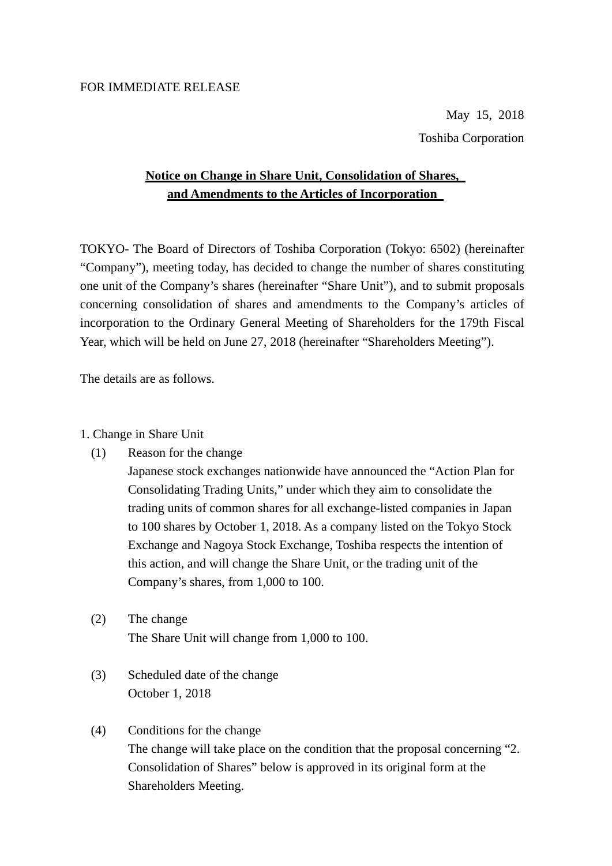#### FOR IMMEDIATE RELEASE

May 15, 2018 Toshiba Corporation

# **Notice on Change in Share Unit, Consolidation of Shares, and Amendments to the Articles of Incorporation**

TOKYO- The Board of Directors of Toshiba Corporation (Tokyo: 6502) (hereinafter "Company"), meeting today, has decided to change the number of shares constituting one unit of the Company's shares (hereinafter "Share Unit"), and to submit proposals concerning consolidation of shares and amendments to the Company's articles of incorporation to the Ordinary General Meeting of Shareholders for the 179th Fiscal Year, which will be held on June 27, 2018 (hereinafter "Shareholders Meeting").

The details are as follows.

#### 1. Change in Share Unit

(1) Reason for the change

Japanese stock exchanges nationwide have announced the "Action Plan for Consolidating Trading Units," under which they aim to consolidate the trading units of common shares for all exchange-listed companies in Japan to 100 shares by October 1, 2018. As a company listed on the Tokyo Stock Exchange and Nagoya Stock Exchange, Toshiba respects the intention of this action, and will change the Share Unit, or the trading unit of the Company's shares, from 1,000 to 100.

- (2) The change The Share Unit will change from 1,000 to 100.
- (3) Scheduled date of the change October 1, 2018
- (4) Conditions for the change The change will take place on the condition that the proposal concerning "2. Consolidation of Shares" below is approved in its original form at the Shareholders Meeting.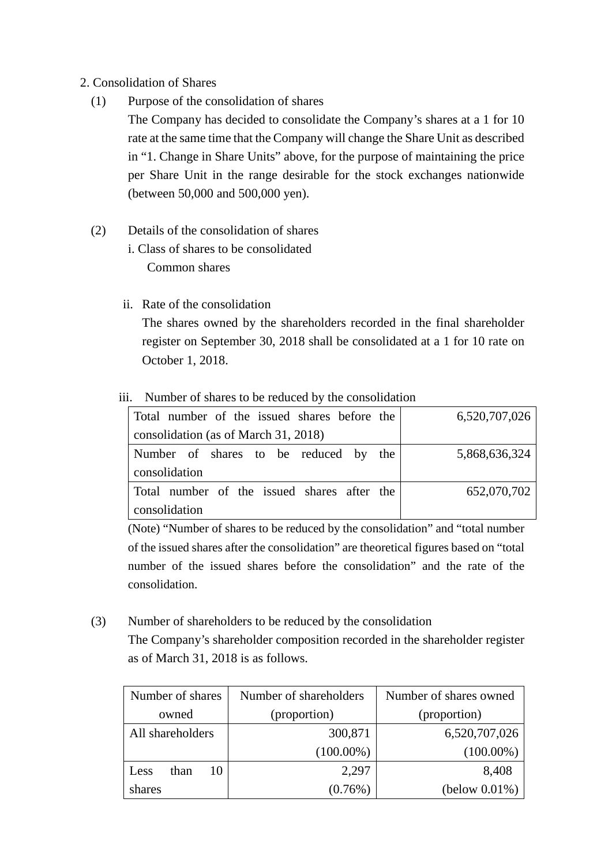## 2. Consolidation of Shares

(1) Purpose of the consolidation of shares

The Company has decided to consolidate the Company's shares at a 1 for 10 rate at the same time that the Company will change the Share Unit as described in "1. Change in Share Units" above, for the purpose of maintaining the price per Share Unit in the range desirable for the stock exchanges nationwide (between 50,000 and 500,000 yen).

- (2) Details of the consolidation of shares
	- i. Class of shares to be consolidated Common shares
	- ii. Rate of the consolidation

The shares owned by the shareholders recorded in the final shareholder register on September 30, 2018 shall be consolidated at a 1 for 10 rate on October 1, 2018.

## iii. Number of shares to be reduced by the consolidation

| Total number of the issued shares before the | 6,520,707,026 |
|----------------------------------------------|---------------|
| consolidation (as of March 31, 2018)         |               |
| Number of shares to be reduced by the        | 5,868,636,324 |
| consolidation                                |               |
| Total number of the issued shares after the  | 652,070,702   |
| consolidation                                |               |

(Note) "Number of shares to be reduced by the consolidation" and "total number of the issued shares after the consolidation" are theoretical figures based on "total number of the issued shares before the consolidation" and the rate of the consolidation.

(3) Number of shareholders to be reduced by the consolidation The Company's shareholder composition recorded in the shareholder register as of March 31, 2018 is as follows.

| Number of shares | Number of shareholders | Number of shares owned |  |
|------------------|------------------------|------------------------|--|
| owned            | (proportion)           | (proportion)           |  |
| All shareholders | 300,871                | 6,520,707,026          |  |
|                  | $(100.00\%)$           | $(100.00\%)$           |  |
| than<br>Less     | 2,297                  | 8,408                  |  |
| shares           | $(0.76\%)$             | (below 0.01%)          |  |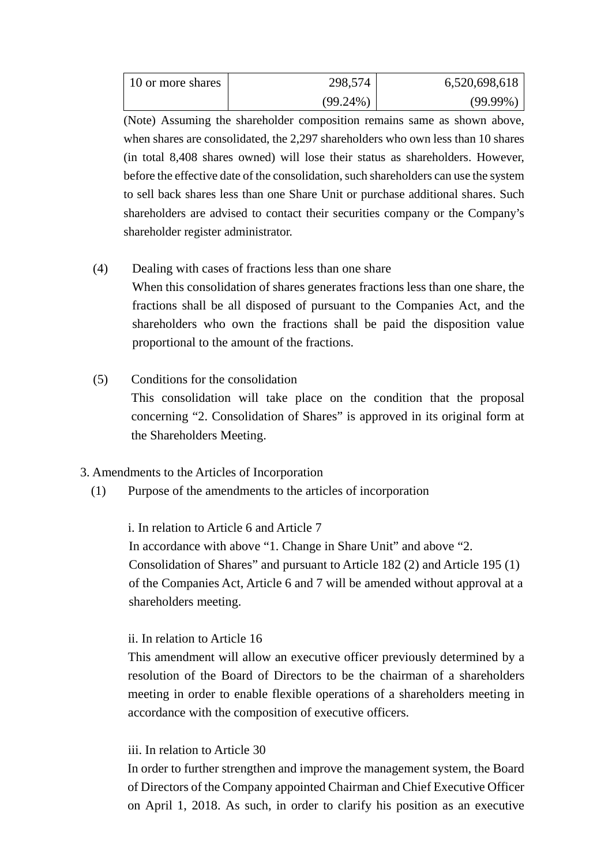| 10 or more shares | 298,574     | 6,520,698,618 |
|-------------------|-------------|---------------|
|                   | $(99.24\%)$ | $(99.99\%)$   |

(Note) Assuming the shareholder composition remains same as shown above, when shares are consolidated, the 2,297 shareholders who own less than 10 shares (in total 8,408 shares owned) will lose their status as shareholders. However, before the effective date of the consolidation, such shareholders can use the system to sell back shares less than one Share Unit or purchase additional shares. Such shareholders are advised to contact their securities company or the Company's shareholder register administrator.

## (4) Dealing with cases of fractions less than one share

When this consolidation of shares generates fractions less than one share, the fractions shall be all disposed of pursuant to the Companies Act, and the shareholders who own the fractions shall be paid the disposition value proportional to the amount of the fractions.

## (5) Conditions for the consolidation

This consolidation will take place on the condition that the proposal concerning "2. Consolidation of Shares" is approved in its original form at the Shareholders Meeting.

## 3. Amendments to the Articles of Incorporation

(1) Purpose of the amendments to the articles of incorporation

## i. In relation to Article 6 and Article 7

In accordance with above "1. Change in Share Unit" and above "2. Consolidation of Shares" and pursuant to Article 182 (2) and Article 195 (1) of the Companies Act, Article 6 and 7 will be amended without approval at a shareholders meeting.

## ii. In relation to Article 16

This amendment will allow an executive officer previously determined by a resolution of the Board of Directors to be the chairman of a shareholders meeting in order to enable flexible operations of a shareholders meeting in accordance with the composition of executive officers.

## iii. In relation to Article 30

In order to further strengthen and improve the management system, the Board of Directors of the Company appointed Chairman and Chief Executive Officer on April 1, 2018. As such, in order to clarify his position as an executive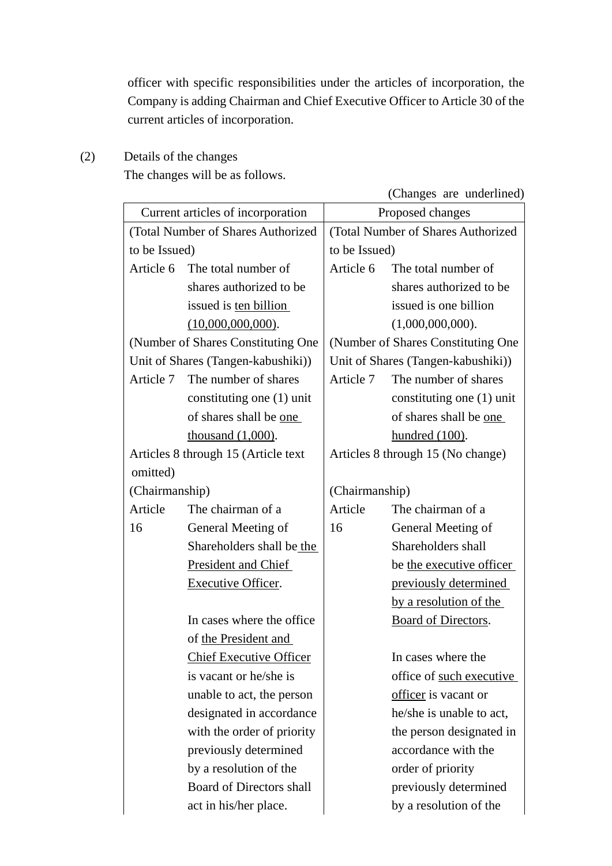officer with specific responsibilities under the articles of incorporation, the Company is adding Chairman and Chief Executive Officer to Article 30 of the current articles of incorporation.

(2) Details of the changes

The changes will be as follows.

(Changes are underlined)

| (Total Number of Shares Authorized<br>(Total Number of Shares Authorized<br>to be Issued)<br>to be Issued)<br>Article 6<br>The total number of<br>The total number of<br>Article 6<br>shares authorized to be<br>shares authorized to be<br>issued is one billion<br>issued is ten billion<br>(10,000,000,000).<br>(1,000,000,000).<br>(Number of Shares Constituting One<br>(Number of Shares Constituting One)<br>Unit of Shares (Tangen-kabushiki))<br>Unit of Shares (Tangen-kabushiki))<br>The number of shares<br>The number of shares<br>Article 7<br>Article 7<br>constituting one (1) unit<br>constituting one $(1)$ unit<br>of shares shall be one<br>of shares shall be one<br>thousand $(1,000)$ .<br>hundred $(100)$ .<br>Articles 8 through 15 (Article text<br>Articles 8 through 15 (No change)<br>omitted)<br>(Chairmanship)<br>(Chairmanship)<br>Article<br>The chairman of a<br>Article<br>The chairman of a<br>General Meeting of<br>16<br>General Meeting of<br>16<br>Shareholders shall be the<br>Shareholders shall<br><b>President and Chief</b><br>be the executive officer<br><b>Executive Officer.</b><br>previously determined<br>by a resolution of the<br>In cases where the office<br>Board of Directors.<br>of the President and<br><b>Chief Executive Officer</b><br>In cases where the<br>is vacant or he/she is<br>office of such executive<br>officer is vacant or<br>unable to act, the person<br>designated in accordance<br>he/she is unable to act,<br>with the order of priority<br>the person designated in<br>accordance with the<br>previously determined<br>by a resolution of the<br>order of priority<br><b>Board of Directors shall</b><br>previously determined<br>act in his/her place.<br>by a resolution of the |  | Current articles of incorporation |  | Proposed changes |  |
|---------------------------------------------------------------------------------------------------------------------------------------------------------------------------------------------------------------------------------------------------------------------------------------------------------------------------------------------------------------------------------------------------------------------------------------------------------------------------------------------------------------------------------------------------------------------------------------------------------------------------------------------------------------------------------------------------------------------------------------------------------------------------------------------------------------------------------------------------------------------------------------------------------------------------------------------------------------------------------------------------------------------------------------------------------------------------------------------------------------------------------------------------------------------------------------------------------------------------------------------------------------------------------------------------------------------------------------------------------------------------------------------------------------------------------------------------------------------------------------------------------------------------------------------------------------------------------------------------------------------------------------------------------------------------------------------------------------------------------------------------------------------|--|-----------------------------------|--|------------------|--|
|                                                                                                                                                                                                                                                                                                                                                                                                                                                                                                                                                                                                                                                                                                                                                                                                                                                                                                                                                                                                                                                                                                                                                                                                                                                                                                                                                                                                                                                                                                                                                                                                                                                                                                                                                                     |  |                                   |  |                  |  |
|                                                                                                                                                                                                                                                                                                                                                                                                                                                                                                                                                                                                                                                                                                                                                                                                                                                                                                                                                                                                                                                                                                                                                                                                                                                                                                                                                                                                                                                                                                                                                                                                                                                                                                                                                                     |  |                                   |  |                  |  |
|                                                                                                                                                                                                                                                                                                                                                                                                                                                                                                                                                                                                                                                                                                                                                                                                                                                                                                                                                                                                                                                                                                                                                                                                                                                                                                                                                                                                                                                                                                                                                                                                                                                                                                                                                                     |  |                                   |  |                  |  |
|                                                                                                                                                                                                                                                                                                                                                                                                                                                                                                                                                                                                                                                                                                                                                                                                                                                                                                                                                                                                                                                                                                                                                                                                                                                                                                                                                                                                                                                                                                                                                                                                                                                                                                                                                                     |  |                                   |  |                  |  |
|                                                                                                                                                                                                                                                                                                                                                                                                                                                                                                                                                                                                                                                                                                                                                                                                                                                                                                                                                                                                                                                                                                                                                                                                                                                                                                                                                                                                                                                                                                                                                                                                                                                                                                                                                                     |  |                                   |  |                  |  |
|                                                                                                                                                                                                                                                                                                                                                                                                                                                                                                                                                                                                                                                                                                                                                                                                                                                                                                                                                                                                                                                                                                                                                                                                                                                                                                                                                                                                                                                                                                                                                                                                                                                                                                                                                                     |  |                                   |  |                  |  |
|                                                                                                                                                                                                                                                                                                                                                                                                                                                                                                                                                                                                                                                                                                                                                                                                                                                                                                                                                                                                                                                                                                                                                                                                                                                                                                                                                                                                                                                                                                                                                                                                                                                                                                                                                                     |  |                                   |  |                  |  |
|                                                                                                                                                                                                                                                                                                                                                                                                                                                                                                                                                                                                                                                                                                                                                                                                                                                                                                                                                                                                                                                                                                                                                                                                                                                                                                                                                                                                                                                                                                                                                                                                                                                                                                                                                                     |  |                                   |  |                  |  |
|                                                                                                                                                                                                                                                                                                                                                                                                                                                                                                                                                                                                                                                                                                                                                                                                                                                                                                                                                                                                                                                                                                                                                                                                                                                                                                                                                                                                                                                                                                                                                                                                                                                                                                                                                                     |  |                                   |  |                  |  |
|                                                                                                                                                                                                                                                                                                                                                                                                                                                                                                                                                                                                                                                                                                                                                                                                                                                                                                                                                                                                                                                                                                                                                                                                                                                                                                                                                                                                                                                                                                                                                                                                                                                                                                                                                                     |  |                                   |  |                  |  |
|                                                                                                                                                                                                                                                                                                                                                                                                                                                                                                                                                                                                                                                                                                                                                                                                                                                                                                                                                                                                                                                                                                                                                                                                                                                                                                                                                                                                                                                                                                                                                                                                                                                                                                                                                                     |  |                                   |  |                  |  |
|                                                                                                                                                                                                                                                                                                                                                                                                                                                                                                                                                                                                                                                                                                                                                                                                                                                                                                                                                                                                                                                                                                                                                                                                                                                                                                                                                                                                                                                                                                                                                                                                                                                                                                                                                                     |  |                                   |  |                  |  |
|                                                                                                                                                                                                                                                                                                                                                                                                                                                                                                                                                                                                                                                                                                                                                                                                                                                                                                                                                                                                                                                                                                                                                                                                                                                                                                                                                                                                                                                                                                                                                                                                                                                                                                                                                                     |  |                                   |  |                  |  |
|                                                                                                                                                                                                                                                                                                                                                                                                                                                                                                                                                                                                                                                                                                                                                                                                                                                                                                                                                                                                                                                                                                                                                                                                                                                                                                                                                                                                                                                                                                                                                                                                                                                                                                                                                                     |  |                                   |  |                  |  |
|                                                                                                                                                                                                                                                                                                                                                                                                                                                                                                                                                                                                                                                                                                                                                                                                                                                                                                                                                                                                                                                                                                                                                                                                                                                                                                                                                                                                                                                                                                                                                                                                                                                                                                                                                                     |  |                                   |  |                  |  |
|                                                                                                                                                                                                                                                                                                                                                                                                                                                                                                                                                                                                                                                                                                                                                                                                                                                                                                                                                                                                                                                                                                                                                                                                                                                                                                                                                                                                                                                                                                                                                                                                                                                                                                                                                                     |  |                                   |  |                  |  |
|                                                                                                                                                                                                                                                                                                                                                                                                                                                                                                                                                                                                                                                                                                                                                                                                                                                                                                                                                                                                                                                                                                                                                                                                                                                                                                                                                                                                                                                                                                                                                                                                                                                                                                                                                                     |  |                                   |  |                  |  |
|                                                                                                                                                                                                                                                                                                                                                                                                                                                                                                                                                                                                                                                                                                                                                                                                                                                                                                                                                                                                                                                                                                                                                                                                                                                                                                                                                                                                                                                                                                                                                                                                                                                                                                                                                                     |  |                                   |  |                  |  |
|                                                                                                                                                                                                                                                                                                                                                                                                                                                                                                                                                                                                                                                                                                                                                                                                                                                                                                                                                                                                                                                                                                                                                                                                                                                                                                                                                                                                                                                                                                                                                                                                                                                                                                                                                                     |  |                                   |  |                  |  |
|                                                                                                                                                                                                                                                                                                                                                                                                                                                                                                                                                                                                                                                                                                                                                                                                                                                                                                                                                                                                                                                                                                                                                                                                                                                                                                                                                                                                                                                                                                                                                                                                                                                                                                                                                                     |  |                                   |  |                  |  |
|                                                                                                                                                                                                                                                                                                                                                                                                                                                                                                                                                                                                                                                                                                                                                                                                                                                                                                                                                                                                                                                                                                                                                                                                                                                                                                                                                                                                                                                                                                                                                                                                                                                                                                                                                                     |  |                                   |  |                  |  |
|                                                                                                                                                                                                                                                                                                                                                                                                                                                                                                                                                                                                                                                                                                                                                                                                                                                                                                                                                                                                                                                                                                                                                                                                                                                                                                                                                                                                                                                                                                                                                                                                                                                                                                                                                                     |  |                                   |  |                  |  |
|                                                                                                                                                                                                                                                                                                                                                                                                                                                                                                                                                                                                                                                                                                                                                                                                                                                                                                                                                                                                                                                                                                                                                                                                                                                                                                                                                                                                                                                                                                                                                                                                                                                                                                                                                                     |  |                                   |  |                  |  |
|                                                                                                                                                                                                                                                                                                                                                                                                                                                                                                                                                                                                                                                                                                                                                                                                                                                                                                                                                                                                                                                                                                                                                                                                                                                                                                                                                                                                                                                                                                                                                                                                                                                                                                                                                                     |  |                                   |  |                  |  |
|                                                                                                                                                                                                                                                                                                                                                                                                                                                                                                                                                                                                                                                                                                                                                                                                                                                                                                                                                                                                                                                                                                                                                                                                                                                                                                                                                                                                                                                                                                                                                                                                                                                                                                                                                                     |  |                                   |  |                  |  |
|                                                                                                                                                                                                                                                                                                                                                                                                                                                                                                                                                                                                                                                                                                                                                                                                                                                                                                                                                                                                                                                                                                                                                                                                                                                                                                                                                                                                                                                                                                                                                                                                                                                                                                                                                                     |  |                                   |  |                  |  |
|                                                                                                                                                                                                                                                                                                                                                                                                                                                                                                                                                                                                                                                                                                                                                                                                                                                                                                                                                                                                                                                                                                                                                                                                                                                                                                                                                                                                                                                                                                                                                                                                                                                                                                                                                                     |  |                                   |  |                  |  |
|                                                                                                                                                                                                                                                                                                                                                                                                                                                                                                                                                                                                                                                                                                                                                                                                                                                                                                                                                                                                                                                                                                                                                                                                                                                                                                                                                                                                                                                                                                                                                                                                                                                                                                                                                                     |  |                                   |  |                  |  |
|                                                                                                                                                                                                                                                                                                                                                                                                                                                                                                                                                                                                                                                                                                                                                                                                                                                                                                                                                                                                                                                                                                                                                                                                                                                                                                                                                                                                                                                                                                                                                                                                                                                                                                                                                                     |  |                                   |  |                  |  |
|                                                                                                                                                                                                                                                                                                                                                                                                                                                                                                                                                                                                                                                                                                                                                                                                                                                                                                                                                                                                                                                                                                                                                                                                                                                                                                                                                                                                                                                                                                                                                                                                                                                                                                                                                                     |  |                                   |  |                  |  |
|                                                                                                                                                                                                                                                                                                                                                                                                                                                                                                                                                                                                                                                                                                                                                                                                                                                                                                                                                                                                                                                                                                                                                                                                                                                                                                                                                                                                                                                                                                                                                                                                                                                                                                                                                                     |  |                                   |  |                  |  |
|                                                                                                                                                                                                                                                                                                                                                                                                                                                                                                                                                                                                                                                                                                                                                                                                                                                                                                                                                                                                                                                                                                                                                                                                                                                                                                                                                                                                                                                                                                                                                                                                                                                                                                                                                                     |  |                                   |  |                  |  |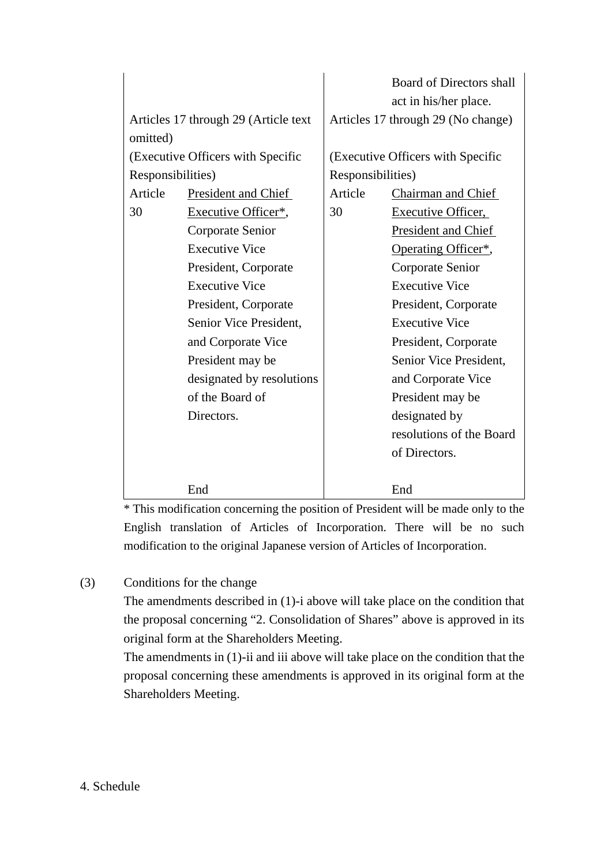|                   |                                      | <b>Board of Directors shall</b>   |                                    |  |
|-------------------|--------------------------------------|-----------------------------------|------------------------------------|--|
|                   |                                      | act in his/her place.             |                                    |  |
|                   | Articles 17 through 29 (Article text |                                   | Articles 17 through 29 (No change) |  |
| omitted)          |                                      |                                   |                                    |  |
|                   | (Executive Officers with Specific    | (Executive Officers with Specific |                                    |  |
| Responsibilities) |                                      | Responsibilities)                 |                                    |  |
| Article           | President and Chief                  | Article                           | Chairman and Chief                 |  |
| 30                | Executive Officer*,                  | 30                                | <b>Executive Officer,</b>          |  |
|                   | Corporate Senior                     |                                   | President and Chief                |  |
|                   | <b>Executive Vice</b>                |                                   | Operating Officer*,                |  |
|                   | President, Corporate                 |                                   | Corporate Senior                   |  |
|                   | <b>Executive Vice</b>                |                                   | <b>Executive Vice</b>              |  |
|                   | President, Corporate                 | President, Corporate              |                                    |  |
|                   | Senior Vice President,               | <b>Executive Vice</b>             |                                    |  |
|                   | and Corporate Vice                   | President, Corporate              |                                    |  |
|                   | President may be                     |                                   | Senior Vice President,             |  |
|                   | designated by resolutions            |                                   | and Corporate Vice                 |  |
|                   | of the Board of                      | President may be                  |                                    |  |
|                   | Directors.                           |                                   | designated by                      |  |
|                   |                                      |                                   | resolutions of the Board           |  |
|                   |                                      |                                   | of Directors.                      |  |
|                   |                                      |                                   |                                    |  |
|                   | End                                  |                                   | End                                |  |

\* This modification concerning the position of President will be made only to the English translation of Articles of Incorporation. There will be no such modification to the original Japanese version of Articles of Incorporation.

# (3) Conditions for the change

The amendments described in (1)-i above will take place on the condition that the proposal concerning "2. Consolidation of Shares" above is approved in its original form at the Shareholders Meeting.

The amendments in (1)-ii and iii above will take place on the condition that the proposal concerning these amendments is approved in its original form at the Shareholders Meeting.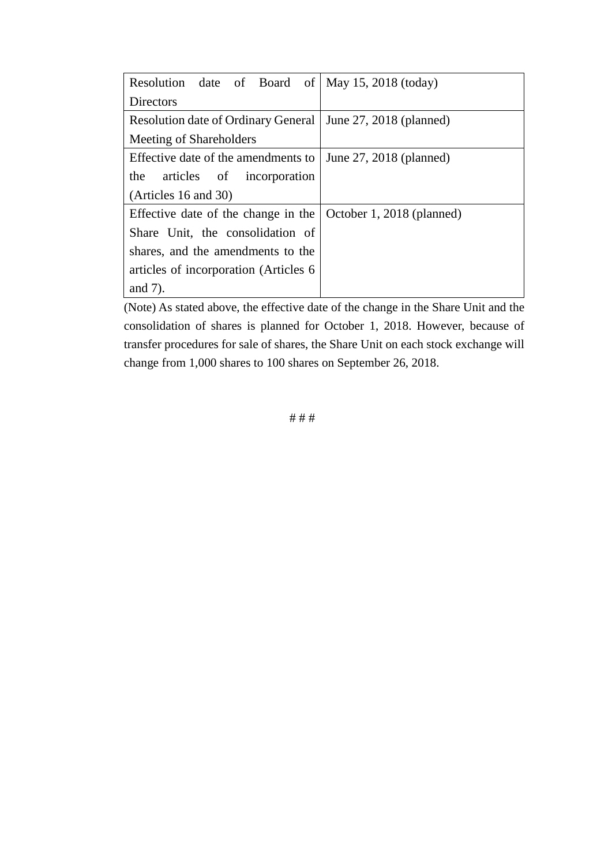| Resolution date of Board of   May 15, 2018 (today) |                           |  |  |
|----------------------------------------------------|---------------------------|--|--|
| Directors                                          |                           |  |  |
| <b>Resolution date of Ordinary General</b>         | June 27, 2018 (planned)   |  |  |
| Meeting of Shareholders                            |                           |  |  |
| Effective date of the amendments to                | June 27, 2018 (planned)   |  |  |
| the articles of incorporation                      |                           |  |  |
| (Articles 16 and 30)                               |                           |  |  |
| Effective date of the change in the                | October 1, 2018 (planned) |  |  |
| Share Unit, the consolidation of                   |                           |  |  |
| shares, and the amendments to the                  |                           |  |  |
| articles of incorporation (Articles 6)             |                           |  |  |
| and $7$ ).                                         |                           |  |  |

(Note) As stated above, the effective date of the change in the Share Unit and the consolidation of shares is planned for October 1, 2018. However, because of transfer procedures for sale of shares, the Share Unit on each stock exchange will change from 1,000 shares to 100 shares on September 26, 2018.

# # #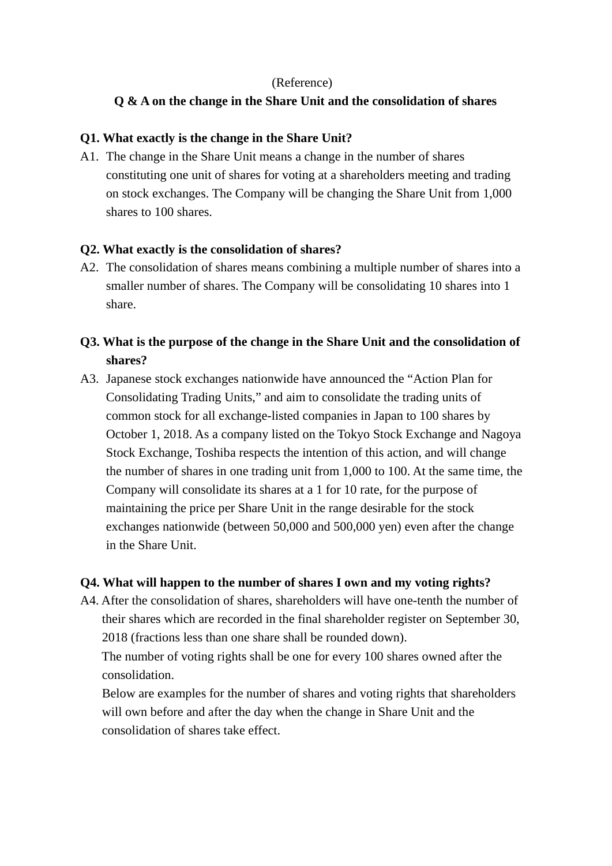### (Reference)

## **Q & A on the change in the Share Unit and the consolidation of shares**

### **Q1. What exactly is the change in the Share Unit?**

A1. The change in the Share Unit means a change in the number of shares constituting one unit of shares for voting at a shareholders meeting and trading on stock exchanges. The Company will be changing the Share Unit from 1,000 shares to 100 shares.

#### **Q2. What exactly is the consolidation of shares?**

A2. The consolidation of shares means combining a multiple number of shares into a smaller number of shares. The Company will be consolidating 10 shares into 1 share.

# **Q3. What is the purpose of the change in the Share Unit and the consolidation of shares?**

A3. Japanese stock exchanges nationwide have announced the "Action Plan for Consolidating Trading Units," and aim to consolidate the trading units of common stock for all exchange-listed companies in Japan to 100 shares by October 1, 2018. As a company listed on the Tokyo Stock Exchange and Nagoya Stock Exchange, Toshiba respects the intention of this action, and will change the number of shares in one trading unit from 1,000 to 100. At the same time, the Company will consolidate its shares at a 1 for 10 rate, for the purpose of maintaining the price per Share Unit in the range desirable for the stock exchanges nationwide (between 50,000 and 500,000 yen) even after the change in the Share Unit.

#### **Q4. What will happen to the number of shares I own and my voting rights?**

A4. After the consolidation of shares, shareholders will have one-tenth the number of their shares which are recorded in the final shareholder register on September 30, 2018 (fractions less than one share shall be rounded down).

The number of voting rights shall be one for every 100 shares owned after the consolidation.

Below are examples for the number of shares and voting rights that shareholders will own before and after the day when the change in Share Unit and the consolidation of shares take effect.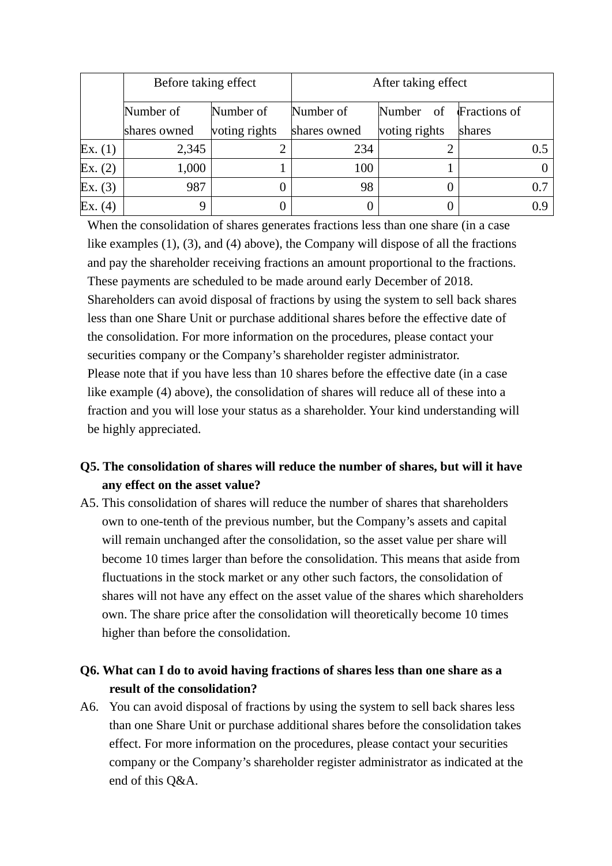|         | Before taking effect |               | After taking effect |                        |        |
|---------|----------------------|---------------|---------------------|------------------------|--------|
|         | Number of            | Number of     | Number of           | Number of Fractions of |        |
|         | shares owned         | voting rights | shares owned        | voting rights          | shares |
| Ex. (1) | 2,345                |               | 234                 |                        | 0.5    |
| Ex. (2) | 1,000                |               | 100                 |                        |        |
| Ex. (3) | 987                  |               | 98                  |                        | 0.7    |
| Ex. (4) |                      |               |                     |                        |        |

When the consolidation of shares generates fractions less than one share (in a case like examples (1), (3), and (4) above), the Company will dispose of all the fractions and pay the shareholder receiving fractions an amount proportional to the fractions. These payments are scheduled to be made around early December of 2018. Shareholders can avoid disposal of fractions by using the system to sell back shares less than one Share Unit or purchase additional shares before the effective date of the consolidation. For more information on the procedures, please contact your securities company or the Company's shareholder register administrator. Please note that if you have less than 10 shares before the effective date (in a case like example (4) above), the consolidation of shares will reduce all of these into a fraction and you will lose your status as a shareholder. Your kind understanding will be highly appreciated.

# **Q5. The consolidation of shares will reduce the number of shares, but will it have any effect on the asset value?**

A5. This consolidation of shares will reduce the number of shares that shareholders own to one-tenth of the previous number, but the Company's assets and capital will remain unchanged after the consolidation, so the asset value per share will become 10 times larger than before the consolidation. This means that aside from fluctuations in the stock market or any other such factors, the consolidation of shares will not have any effect on the asset value of the shares which shareholders own. The share price after the consolidation will theoretically become 10 times higher than before the consolidation.

# **Q6. What can I do to avoid having fractions of shares less than one share as a result of the consolidation?**

A6. You can avoid disposal of fractions by using the system to sell back shares less than one Share Unit or purchase additional shares before the consolidation takes effect. For more information on the procedures, please contact your securities company or the Company's shareholder register administrator as indicated at the end of this Q&A.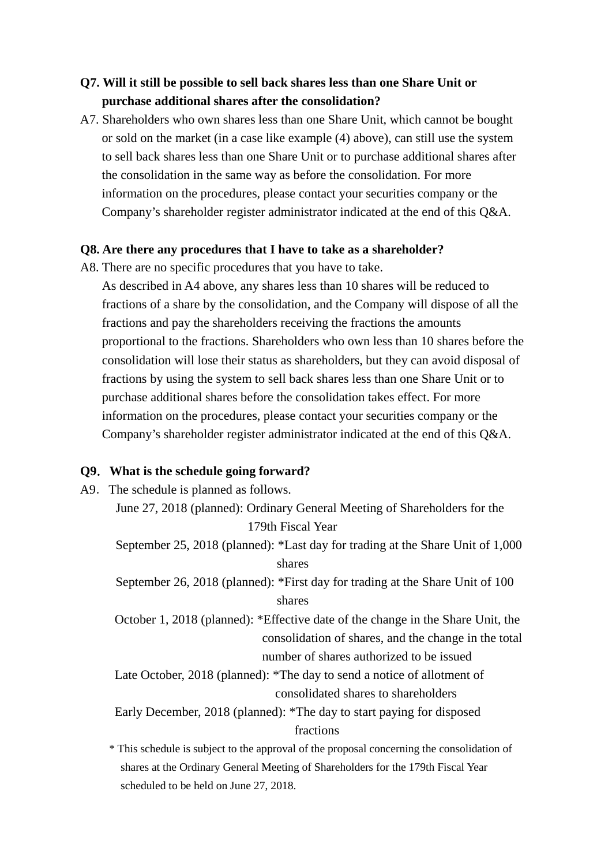# **Q7. Will it still be possible to sell back shares less than one Share Unit or purchase additional shares after the consolidation?**

A7. Shareholders who own shares less than one Share Unit, which cannot be bought or sold on the market (in a case like example (4) above), can still use the system to sell back shares less than one Share Unit or to purchase additional shares after the consolidation in the same way as before the consolidation. For more information on the procedures, please contact your securities company or the Company's shareholder register administrator indicated at the end of this Q&A.

#### **Q8. Are there any procedures that I have to take as a shareholder?**

A8. There are no specific procedures that you have to take.

As described in A4 above, any shares less than 10 shares will be reduced to fractions of a share by the consolidation, and the Company will dispose of all the fractions and pay the shareholders receiving the fractions the amounts proportional to the fractions. Shareholders who own less than 10 shares before the consolidation will lose their status as shareholders, but they can avoid disposal of fractions by using the system to sell back shares less than one Share Unit or to purchase additional shares before the consolidation takes effect. For more information on the procedures, please contact your securities company or the Company's shareholder register administrator indicated at the end of this Q&A.

## **Q9**.**What is the schedule going forward?**

- A9. The schedule is planned as follows. June 27, 2018 (planned): Ordinary General Meeting of Shareholders for the 179th Fiscal Year September 25, 2018 (planned): \*Last day for trading at the Share Unit of 1,000 shares September 26, 2018 (planned): \*First day for trading at the Share Unit of 100 shares October 1, 2018 (planned): \*Effective date of the change in the Share Unit, the consolidation of shares, and the change in the total number of shares authorized to be issued Late October, 2018 (planned): \*The day to send a notice of allotment of consolidated shares to shareholders Early December, 2018 (planned): \*The day to start paying for disposed fractions
	- \* This schedule is subject to the approval of the proposal concerning the consolidation of shares at the Ordinary General Meeting of Shareholders for the 179th Fiscal Year scheduled to be held on June 27, 2018.